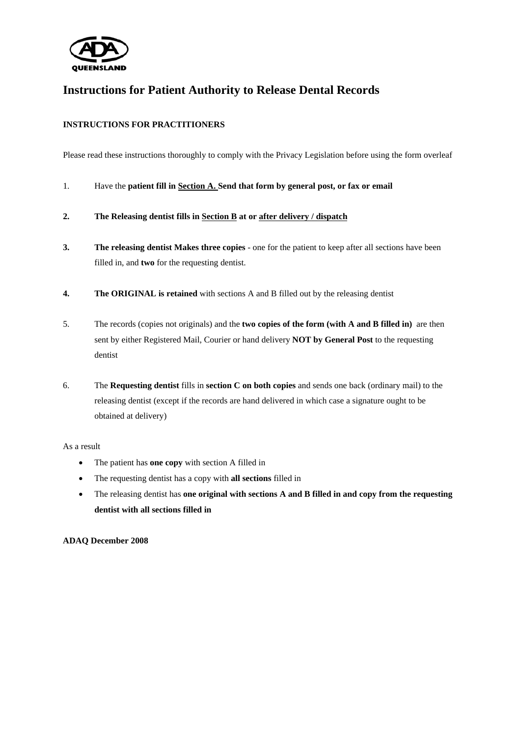

# **Instructions for Patient Authority to Release Dental Records**

## **INSTRUCTIONS FOR PRACTITIONERS**

Please read these instructions thoroughly to comply with the Privacy Legislation before using the form overleaf

- 1. Have the **patient fill in Section A. Send that form by general post, or fax or email**
- **2. The Releasing dentist fills in Section B at or after delivery / dispatch**
- **3. The releasing dentist Makes three copies** one for the patient to keep after all sections have been filled in, and **two** for the requesting dentist.
- **4.** The ORIGINAL is retained with sections A and B filled out by the releasing dentist
- 5. The records (copies not originals) and the **two copies of the form (with A and B filled in)** are then sent by either Registered Mail, Courier or hand delivery **NOT by General Post** to the requesting dentist
- 6. The **Requesting dentist** fills in **section C on both copies** and sends one back (ordinary mail) to the releasing dentist (except if the records are hand delivered in which case a signature ought to be obtained at delivery)

#### As a result

- The patient has **one copy** with section A filled in
- The requesting dentist has a copy with **all sections** filled in
- The releasing dentist has **one original with sections A and B filled in and copy from the requesting dentist with all sections filled in**

#### **ADAQ December 2008**